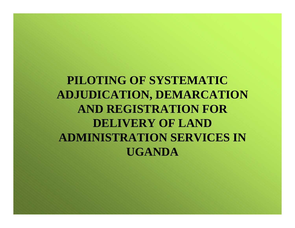**PILOTING OF SYSTEMATIC ADJUDICATION, DEMARCATION AND REGISTRATION FOR DELIVERY OF LAND ADMINISTRATION SERVICES IN UGANDA**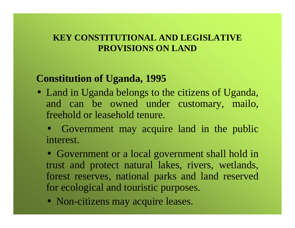#### **KEY CONSTITUTIONAL AND LEGISLATIVE PROVISIONS ON LAND**

#### **Constitution of Uganda, 1995**

• Land in Uganda belongs to the citizens of Uganda, and can be owned under customary, mailo, freehold or leasehold tenure.

• Government may acquire land in the public interest.

• Government or a local government shall hold in trust and protect natural lakes, rivers, wetlands, forest reserves, national parks and land reserved for ecological and touristic purposes.

• Non-citizens may acquire leases.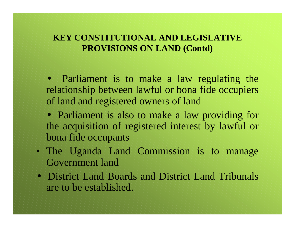#### **KEY CONSTITUTIONAL AND LEGISLATIVE PROVISIONS ON LAND (Contd)**

• Parliament is to make a law regulating the relationship between lawful or bona fide occupiers of land and registered owners of land

- Parliament is also to make a law providing for the acquisition of registered interest by lawful or bona fide occupants
- The Uganda Land Commission is to manage Government land
- District Land Boards and District Land Tribunals are to be established.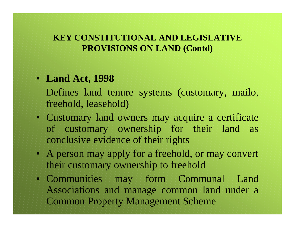#### **KEY CONSTITUTIONAL AND LEGISLATIVE PROVISIONS ON LAND (Contd)**

#### • **Land Act, 1998**

Defines land tenure systems (customary, mailo, freehold, leasehold)

- Customary land owners may acquire a certificate of customary ownership for their land as conclusive evidence of their rights
- A person may apply for a freehold, or may convert their customary ownership to freehold
- Communities may form Communal Land Associations and manage common land under a Common Property Management Scheme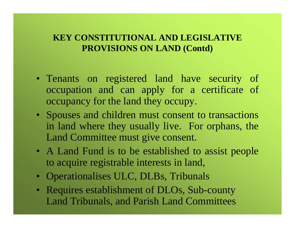#### **KEY CONSTITUTIONAL AND LEGISLATIVE PROVISIONS ON LAND (Contd)**

- Tenants on registered land have security of occupation and can apply for a certificate of occupancy for the land they occupy.
- Spouses and children must consent to transactions in land where they usually live. For orphans, the Land Committee must give consent.
- A Land Fund is to be established to assist people to acquire registrable interests in land,
- Operationalises ULC, DLBs, Tribunals
- Requires establishment of DLOs, Sub-county Land Tribunals, and Parish Land Committees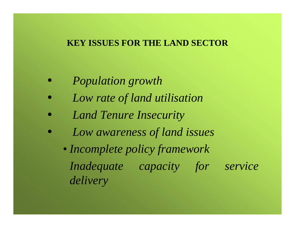#### **KEY ISSUES FOR THE LAND SECTOR**

- *Population growth*
- *Low rate of land utilisation*
- *Land Tenure Insecurity*
- *Low awareness of land issues*
	- *Incomplete policy framework Inadequate capacity for service delivery*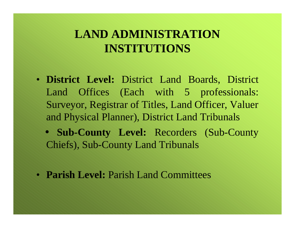## **LAND ADMINISTRATION INSTITUTIONS**

- **District Level:** District Land Boards, District Land Offices (Each with 5 professionals: Surveyor, Registrar of Titles, Land Officer, Valuer and Physical Planner), District Land Tribunals
	- **Sub-County Level:** Recorders (Sub-County Chiefs), Sub-County Land Tribunals
- **Parish Level:** Parish Land Committees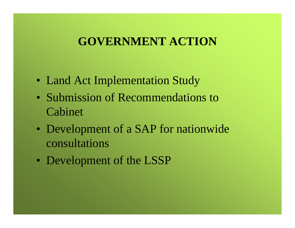### **GOVERNMENT ACTION**

- Land Act Implementation Study
- Submission of Recommendations to Cabinet
- Development of a SAP for nationwide consultations
- Development of the LSSP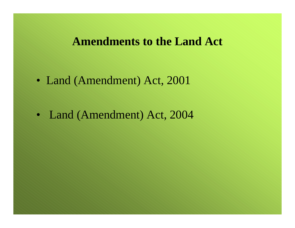### **Amendments to the Land Act**

- Land (Amendment) Act, 2001
- Land (Amendment) Act, 2004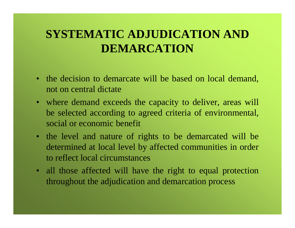# **SYSTEMATIC ADJUDICATION AND DEMARCATION**

- the decision to demarcate will be based on local demand, not on central dictate
- where demand exceeds the capacity to deliver, areas will be selected according to agreed criteria of environmental, social or economic benefit
- the level and nature of rights to be demarcated will be determined at local level by affected communities in order to reflect local circumstances
- all those affected will have the right to equal protection throughout the adjudication and demarcation process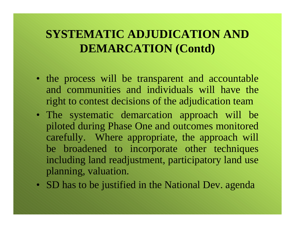# **SYSTEMATIC ADJUDICATION AND DEMARCATION (Contd)**

- the process will be transparent and accountable and communities and individuals will have the right to contest decisions of the adjudication team
- The systematic demarcation approach will be piloted during Phase One and outcomes monitored carefully. Where appropriate, the approach will be broadened to incorporate other techniques including land readjustment, participatory land use planning, valuation.
- SD has to be justified in the National Dev. agenda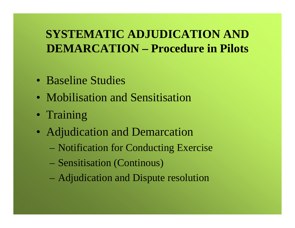# **SYSTEMATIC ADJUDICATION AND DEMARCATION – Procedure in Pilots**

- Baseline Studies
- Mobilisation and Sensitisation
- Training
- Adjudication and Demarcation
	- Notification for Conducting Exercise
	- Sensitisation (Continous)
	- Adjudication and Dispute resolution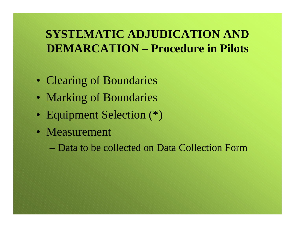# **SYSTEMATIC ADJUDICATION AND DEMARCATION – Procedure in Pilots**

- Clearing of Boundaries
- Marking of Boundaries
- Equipment Selection (\*)
- Measurement

– Data to be collected on Data Collection Form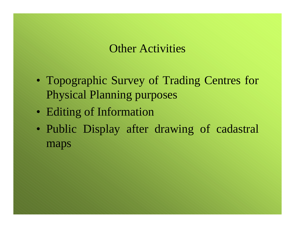### Other Activities

- Topographic Survey of Trading Centres for Physical Planning purposes
- Editing of Information
- Public Display after drawing of cadastral maps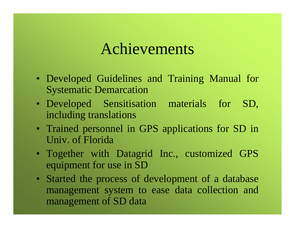# Achievements

- Developed Guidelines and Training Manual for Systematic Demarcation
- Developed Sensitisation materials for SD, including translations
- Trained personnel in GPS applications for SD in Univ. of Florida
- Together with Datagrid Inc., customized GPS equipment for use in SD
- Started the process of development of a database management system to ease data collection and management of SD data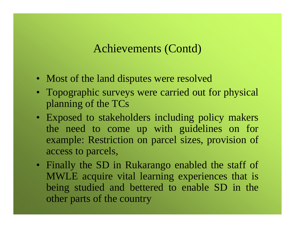### Achievements (Contd)

- Most of the land disputes were resolved
- Topographic surveys were carried out for physical planning of the TCs
- Exposed to stakeholders including policy makers the need to come up with guidelines on for example: Restriction on parcel sizes, provision of access to parcels,
- Finally the SD in Rukarango enabled the staff of MWLE acquire vital learning experiences that is being studied and bettered to enable SD in the other parts of the country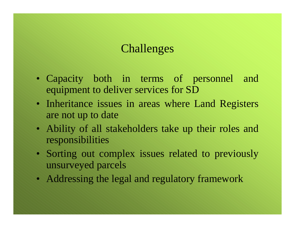## Challenges

- Capacity both in terms of personnel and equipment to deliver services for SD
- Inheritance issues in areas where Land Registers are not up to date
- Ability of all stakeholders take up their roles and responsibilities
- Sorting out complex issues related to previously unsurveyed parcels
- Addressing the legal and regulatory framework